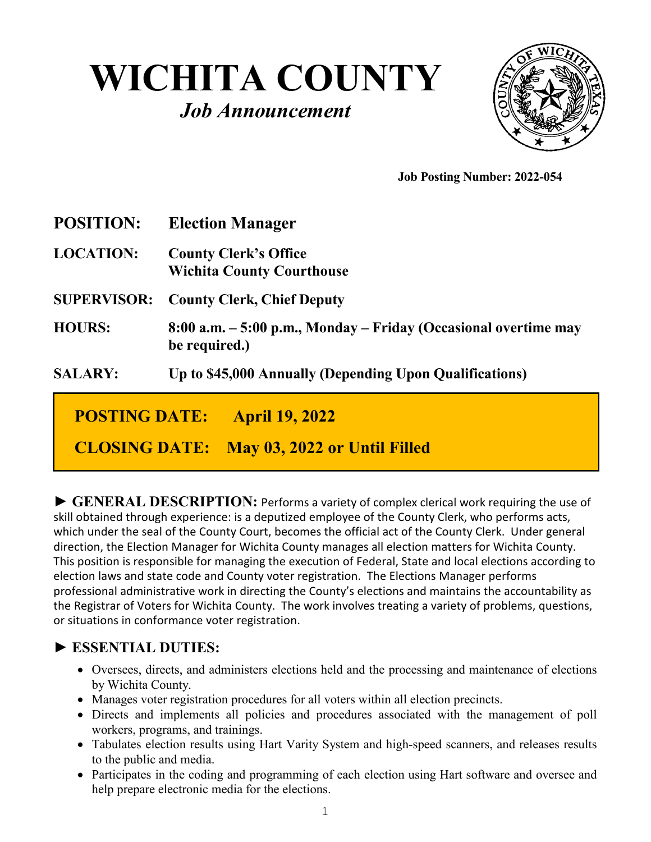# **WICHITA COUNTY** *Job Announcement*



 **Job Posting Number: 2022-054** 

| <b>POSITION:</b>                              | <b>Election Manager</b>                                                          |
|-----------------------------------------------|----------------------------------------------------------------------------------|
| <b>LOCATION:</b>                              | <b>County Clerk's Office</b><br><b>Wichita County Courthouse</b>                 |
| <b>SUPERVISOR:</b>                            | <b>County Clerk, Chief Deputy</b>                                                |
| <b>HOURS:</b>                                 | 8:00 a.m. – 5:00 p.m., Monday – Friday (Occasional overtime may<br>be required.) |
| <b>SALARY:</b>                                | Up to \$45,000 Annually (Depending Upon Qualifications)                          |
| <b>POSTING DATE:</b><br><b>April 19, 2022</b> |                                                                                  |
| <b>CLOSING DATE:</b>                          | May 03, 2022 or Until Filled                                                     |

**► GENERAL DESCRIPTION:** Performs a variety of complex clerical work requiring the use of skill obtained through experience: is a deputized employee of the County Clerk, who performs acts, which under the seal of the County Court, becomes the official act of the County Clerk. Under general direction, the Election Manager for Wichita County manages all election matters for Wichita County. This position is responsible for managing the execution of Federal, State and local elections according to election laws and state code and County voter registration. The Elections Manager performs professional administrative work in directing the County's elections and maintains the accountability as the Registrar of Voters for Wichita County. The work involves treating a variety of problems, questions, or situations in conformance voter registration.

#### **► ESSENTIAL DUTIES:**

- Oversees, directs, and administers elections held and the processing and maintenance of elections by Wichita County.
- Manages voter registration procedures for all voters within all election precincts.
- Directs and implements all policies and procedures associated with the management of poll workers, programs, and trainings.
- Tabulates election results using Hart Varity System and high-speed scanners, and releases results to the public and media.
- Participates in the coding and programming of each election using Hart software and oversee and help prepare electronic media for the elections.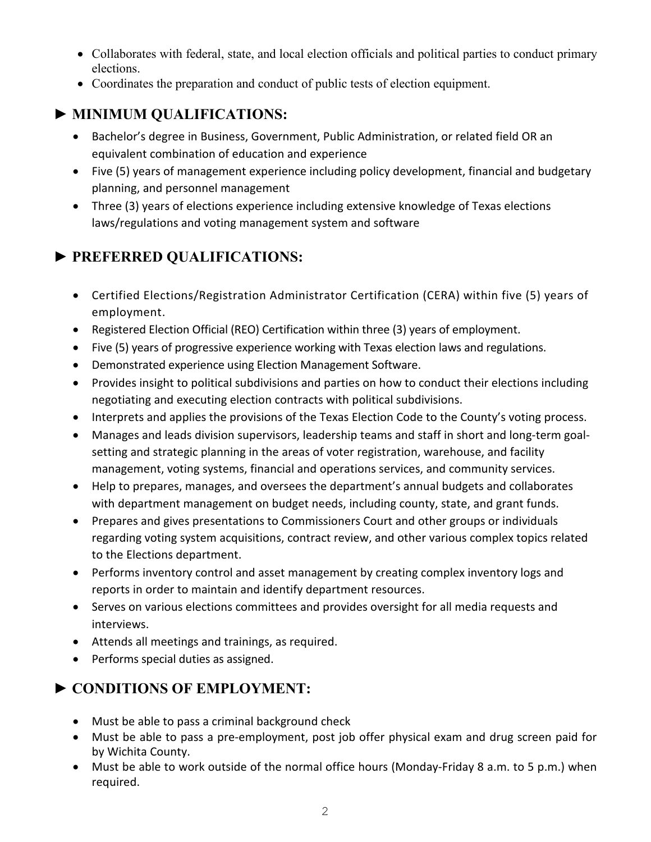- Collaborates with federal, state, and local election officials and political parties to conduct primary elections.
- Coordinates the preparation and conduct of public tests of election equipment.

### **► MINIMUM QUALIFICATIONS:**

- Bachelor's degree in Business, Government, Public Administration, or related field OR an equivalent combination of education and experience
- Five (5) years of management experience including policy development, financial and budgetary planning, and personnel management
- Three (3) years of elections experience including extensive knowledge of Texas elections laws/regulations and voting management system and software

## **► PREFERRED QUALIFICATIONS:**

- Certified Elections/Registration Administrator Certification (CERA) within five (5) years of employment.
- Registered Election Official (REO) Certification within three (3) years of employment.
- Five (5) years of progressive experience working with Texas election laws and regulations.
- Demonstrated experience using Election Management Software.
- Provides insight to political subdivisions and parties on how to conduct their elections including negotiating and executing election contracts with political subdivisions.
- Interprets and applies the provisions of the Texas Election Code to the County's voting process.
- Manages and leads division supervisors, leadership teams and staff in short and long-term goalsetting and strategic planning in the areas of voter registration, warehouse, and facility management, voting systems, financial and operations services, and community services.
- Help to prepares, manages, and oversees the department's annual budgets and collaborates with department management on budget needs, including county, state, and grant funds.
- Prepares and gives presentations to Commissioners Court and other groups or individuals regarding voting system acquisitions, contract review, and other various complex topics related to the Elections department.
- Performs inventory control and asset management by creating complex inventory logs and reports in order to maintain and identify department resources.
- Serves on various elections committees and provides oversight for all media requests and interviews.
- Attends all meetings and trainings, as required.
- Performs special duties as assigned.

#### **► CONDITIONS OF EMPLOYMENT:**

- Must be able to pass a criminal background check
- Must be able to pass a pre-employment, post job offer physical exam and drug screen paid for by Wichita County.
- Must be able to work outside of the normal office hours (Monday-Friday 8 a.m. to 5 p.m.) when required.